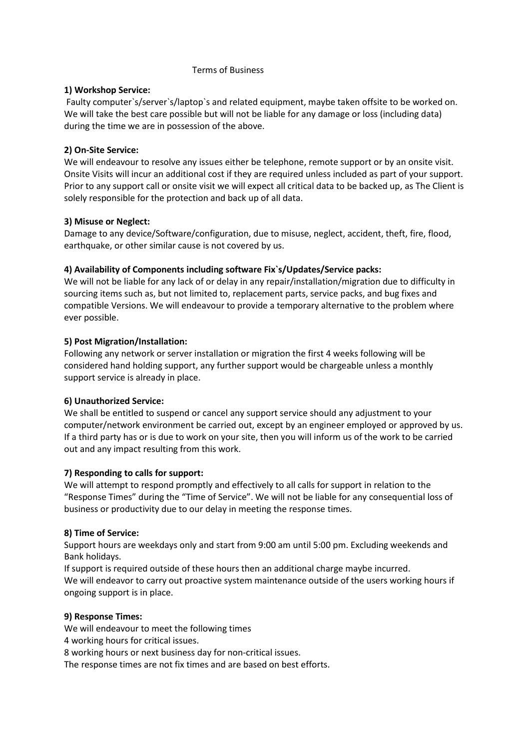#### Terms of Business

### **1) Workshop Service:**

Faulty computer`s/server`s/laptop`s and related equipment, maybe taken offsite to be worked on. We will take the best care possible but will not be liable for any damage or loss (including data) during the time we are in possession of the above.

## **2) On-Site Service:**

We will endeavour to resolve any issues either be telephone, remote support or by an onsite visit. Onsite Visits will incur an additional cost if they are required unless included as part of your support. Prior to any support call or onsite visit we will expect all critical data to be backed up, as The Client is solely responsible for the protection and back up of all data.

## **3) Misuse or Neglect:**

Damage to any device/Software/configuration, due to misuse, neglect, accident, theft, fire, flood, earthquake, or other similar cause is not covered by us.

## **4) Availability of Components including software Fix`s/Updates/Service packs:**

We will not be liable for any lack of or delay in any repair/installation/migration due to difficulty in sourcing items such as, but not limited to, replacement parts, service packs, and bug fixes and compatible Versions. We will endeavour to provide a temporary alternative to the problem where ever possible.

## **5) Post Migration/Installation:**

Following any network or server installation or migration the first 4 weeks following will be considered hand holding support, any further support would be chargeable unless a monthly support service is already in place.

# **6) Unauthorized Service:**

We shall be entitled to suspend or cancel any support service should any adjustment to your computer/network environment be carried out, except by an engineer employed or approved by us. If a third party has or is due to work on your site, then you will inform us of the work to be carried out and any impact resulting from this work.

### **7) Responding to calls for support:**

We will attempt to respond promptly and effectively to all calls for support in relation to the "Response Times" during the "Time of Service". We will not be liable for any consequential loss of business or productivity due to our delay in meeting the response times.

### **8) Time of Service:**

Support hours are weekdays only and start from 9:00 am until 5:00 pm. Excluding weekends and Bank holidays.

If support is required outside of these hours then an additional charge maybe incurred. We will endeavor to carry out proactive system maintenance outside of the users working hours if ongoing support is in place.

### **9) Response Times:**

We will endeavour to meet the following times

4 working hours for critical issues.

8 working hours or next business day for non-critical issues.

The response times are not fix times and are based on best efforts.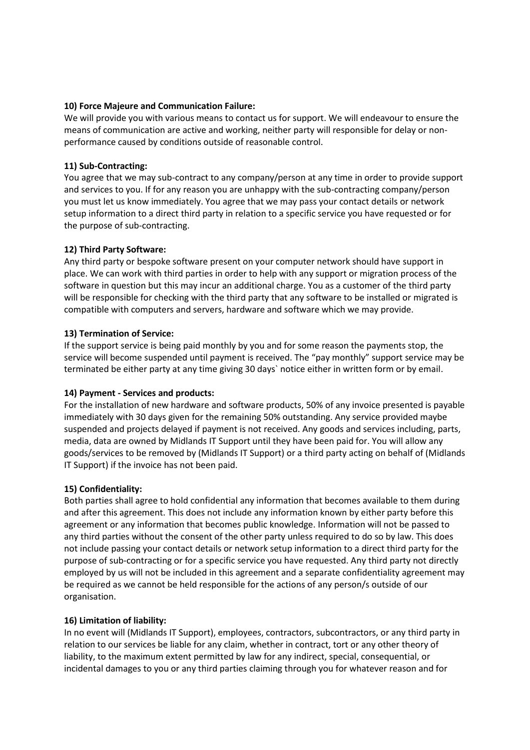## **10) Force Majeure and Communication Failure:**

We will provide you with various means to contact us for support. We will endeavour to ensure the means of communication are active and working, neither party will responsible for delay or nonperformance caused by conditions outside of reasonable control.

## **11) Sub-Contracting:**

You agree that we may sub-contract to any company/person at any time in order to provide support and services to you. If for any reason you are unhappy with the sub-contracting company/person you must let us know immediately. You agree that we may pass your contact details or network setup information to a direct third party in relation to a specific service you have requested or for the purpose of sub-contracting.

## **12) Third Party Software:**

Any third party or bespoke software present on your computer network should have support in place. We can work with third parties in order to help with any support or migration process of the software in question but this may incur an additional charge. You as a customer of the third party will be responsible for checking with the third party that any software to be installed or migrated is compatible with computers and servers, hardware and software which we may provide.

## **13) Termination of Service:**

If the support service is being paid monthly by you and for some reason the payments stop, the service will become suspended until payment is received. The "pay monthly" support service may be terminated be either party at any time giving 30 days` notice either in written form or by email.

### **14) Payment - Services and products:**

For the installation of new hardware and software products, 50% of any invoice presented is payable immediately with 30 days given for the remaining 50% outstanding. Any service provided maybe suspended and projects delayed if payment is not received. Any goods and services including, parts, media, data are owned by Midlands IT Support until they have been paid for. You will allow any goods/services to be removed by (Midlands IT Support) or a third party acting on behalf of (Midlands IT Support) if the invoice has not been paid.

### **15) Confidentiality:**

Both parties shall agree to hold confidential any information that becomes available to them during and after this agreement. This does not include any information known by either party before this agreement or any information that becomes public knowledge. Information will not be passed to any third parties without the consent of the other party unless required to do so by law. This does not include passing your contact details or network setup information to a direct third party for the purpose of sub-contracting or for a specific service you have requested. Any third party not directly employed by us will not be included in this agreement and a separate confidentiality agreement may be required as we cannot be held responsible for the actions of any person/s outside of our organisation.

### **16) Limitation of liability:**

In no event will (Midlands IT Support), employees, contractors, subcontractors, or any third party in relation to our services be liable for any claim, whether in contract, tort or any other theory of liability, to the maximum extent permitted by law for any indirect, special, consequential, or incidental damages to you or any third parties claiming through you for whatever reason and for